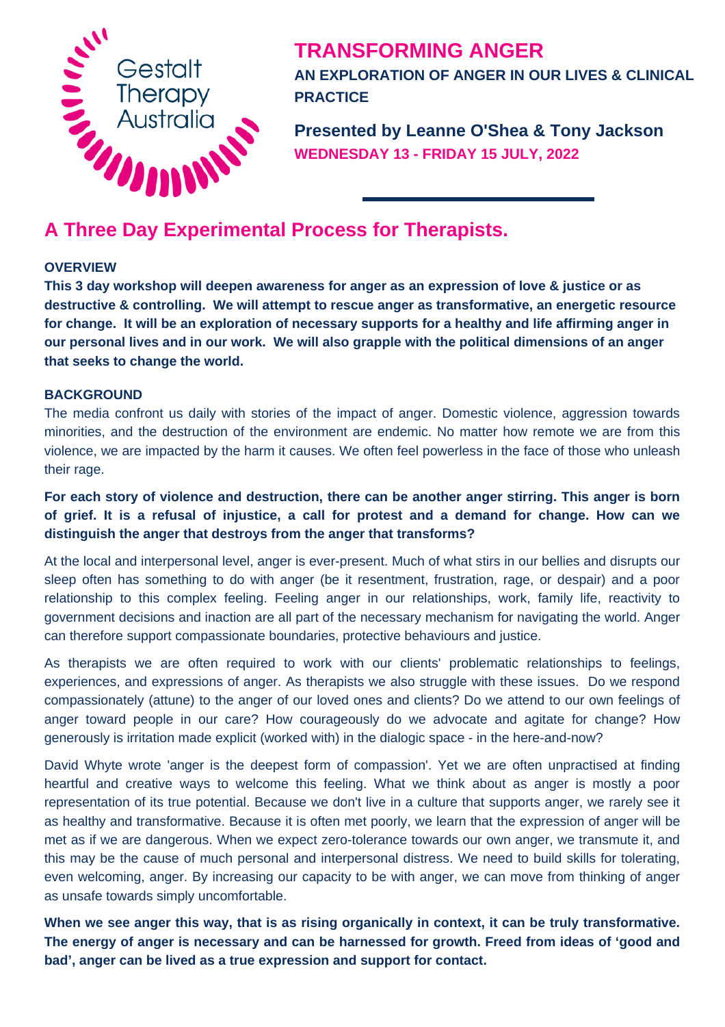

# **TRANSFORMING ANGER**

**AN EXPLORATION OF ANGER IN OUR LIVES & CLINICAL PRACTICE**

**Presented by Leanne O'Shea & Tony Jackson WEDNESDAY 13 - FRIDAY 15 JULY, 2022**

#### **OVERVIEW**

**This 3 day workshop will deepen awareness for anger as an expression of love & justice or as destructive & controlling. We will attempt to rescue anger as transformative, an energetic resource for change. It will be an exploration of necessary supports for a healthy and life affirming anger in our personal lives and in our work. We will also grapple with the political dimensions of an anger that seeks to change the world.**

#### **BACKGROUND**

The media confront us daily with stories of the impact of anger. Domestic violence, aggression towards minorities, and the destruction of the environment are endemic. No matter how remote we are from this violence, we are impacted by the harm it causes. We often feel powerless in the face of those who unleash their rage.

## **For each story of violence and destruction, there can be another anger stirring. This anger is born of grief. It is a refusal of injustice, a call for protest and a demand for change. How can we distinguish the anger that destroys from the anger that transforms?**

At the local and interpersonal level, anger is ever-present. Much of what stirs in our bellies and disrupts our sleep often has something to do with anger (be it resentment, frustration, rage, or despair) and a poor relationship to this complex feeling. Feeling anger in our relationships, work, family life, reactivity to government decisions and inaction are all part of the necessary mechanism for navigating the world. Anger can therefore support compassionate boundaries, protective behaviours and justice.

As therapists we are often required to work with our clients' problematic relationships to feelings, experiences, and expressions of anger. As therapists we also struggle with these issues. Do we respond compassionately (attune) to the anger of our loved ones and clients? Do we attend to our own feelings of anger toward people in our care? How courageously do we advocate and agitate for change? How generously is irritation made explicit (worked with) in the dialogic space - in the here-and-now?

David Whyte wrote 'anger is the deepest form of compassion'. Yet we are often unpractised at finding heartful and creative ways to welcome this feeling. What we think about as anger is mostly a poor representation of its true potential. Because we don't live in a culture that supports anger, we rarely see it as healthy and transformative. Because it is often met poorly, we learn that the expression of anger will be met as if we are dangerous. When we expect zero-tolerance towards our own anger, we transmute it, and this may be the cause of much personal and interpersonal distress. We need to build skills for tolerating, even welcoming, anger. By increasing our capacity to be with anger, we can move from thinking of anger as unsafe towards simply uncomfortable.

**When we see anger this way, that is as rising organically in context, it can be truly transformative. The energy of anger is necessary and can be harnessed for growth. Freed from ideas of 'good and bad', anger can be lived as a true expression and support for contact.**